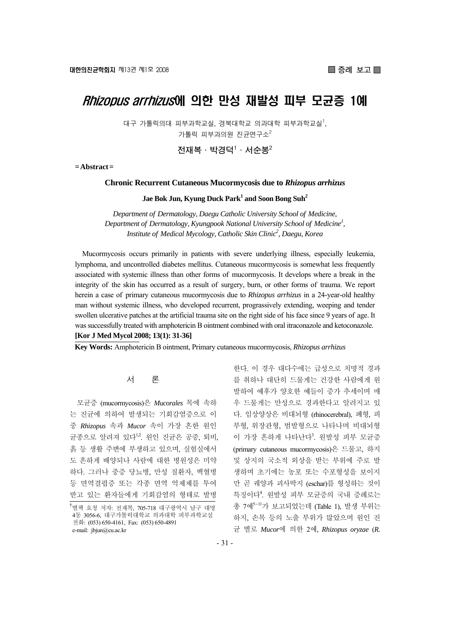# Rhizopus arrhizus에 의한 만성 재발성 피부 모균증 1예

대구 가톨릭의대 피부과학교실, 경북대학교 의과대학 피부과학교실<sup>1</sup>, 가톨릭 피부과의원 진균연구소 $^2$ 

 $\mathbf{M}$ া복 · 박경덕 $^1$  · 서순봉 $^2$ 

**= Abstract =** 

#### **Chronic Recurrent Cutaneous Mucormycosis due to** *Rhizopus arrhizus*

### Jae Bok Jun, Kyung Duck Park<sup>1</sup> and Soon Bong Suh<sup>2</sup>

*Department of Dermatology, Daegu Catholic University School of Medicine, Department of Dermatology, Kyungpook National University School of Medicine1 , Institute of Medical Mycology, Catholic Skin Clinic2 , Daegu, Korea* 

Mucormycosis occurs primarily in patients with severe underlying illness, especially leukemia, lymphoma, and uncontrolled diabetes mellitus. Cutaneous mucormycosis is somewhat less frequently associated with systemic illness than other forms of mucormycosis. It develops where a break in the integrity of the skin has occurred as a result of surgery, burn, or other forms of trauma. We report herein a case of primary cutaneous mucormycosis due to *Rhizopus arrhizus* in a 24-year-old healthy man without systemic illness, who developed recurrent, prograssively extending, weeping and tender swollen ulcerative patches at the artificial trauma site on the right side of his face since 9 years of age. It was successfully treated with amphotericin B ointment combined with oral itraconazole and ketoconazole. **[Kor J Med Mycol 2008; 13(1): 31-36]**

**Key Words:** Amphotericin B ointment, Primary cutaneous mucormycosis, *Rhizopus arrhizus*

#### 서 론

모균증 (mucormycosis)은 *Mucorales* 목에 속하 는 진균에 의하여 발생되는 기회감염증으로 이 중 *Rhizopus* 속과 *Mucor* 속이 가장 흔한 원인 균종으로 알려져 있다<sup>12</sup>. 원인 진균은 공중, 퇴비, 흙 등 생활 주변에 부생하고 있으며, 실험실에서 도 흔하게 배양되나 사람에 대한 병원성은 미약 하다. 그러나 중증 당뇨병, 만성 질환자, 백혈병 등 면역결핍증 또는 각종 면역 억제제를 투여 받고 있는 환자들에게 기회감염의 형태로 발병

한다. 이 경우 대다수에는 급성으로 치명적 경과 를 취하나 대단히 드물게는 건강한 사람에게 원 발하여 예후가 양호한 예들이 증가 추세이며 매 우 드물게는 만성으로 경과한다고 알려지고 있 다. 임상양상은 비대뇌형 (rhinocerebral), 폐형, 피 부형, 위장관형, 범발형으로 나타나며 비대뇌형 이 가장 흔하게 나타난다<sup>3</sup>. 원발성 피부 모균증 (primary cutaneous mucormycosis)은 드물고, 하지 및 상지의 국소적 외상을 받는 부위에 주로 발 생하며 초기에는 농포 또는 수포형성을 보이지 만 곧 궤양과 괴사딱지 (eschar)를 형성하는 것이 특징이다<sup>4</sup> . 원발성 피부 모균증의 국내 증례로는 총 7예<sup>5</sup>~<sup>11</sup>가 보고되었는데 (Table 1), 발생 부위는 하지, 손목 등의 노출 부위가 많았으며 원인 진 균 별로 *Mucor*에 의한 2예, *Rhizopus oryzae* (*R.* 

<sup>†</sup> 별책 요청 저자: 전재복, 705-718 대구광역시 남구 대명 4동 3056-6, 대구가톨릭대학교 의과대학 피부과학교실 전화: (053) 650-4161, Fax: (053) 650-4891 e-mail: jbjun@cu.ac.kr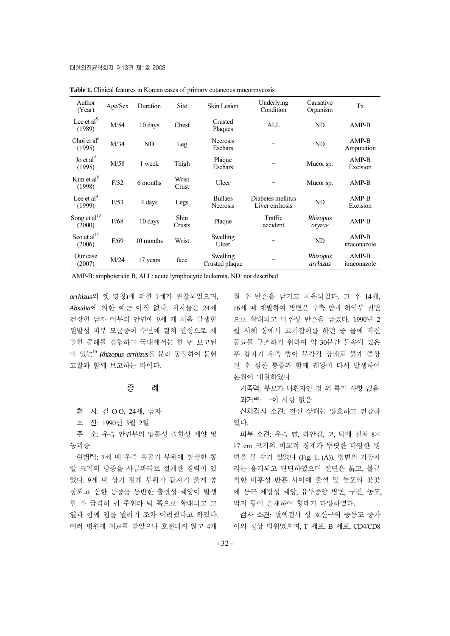| Author<br>(Year)                  | Age/Sex | Duration  | Site           | <b>Skin Lesion</b>                | Underlying<br>Condition              | Causative<br>Organism | Tx                      |
|-----------------------------------|---------|-----------|----------------|-----------------------------------|--------------------------------------|-----------------------|-------------------------|
| Lee et al <sup>5</sup><br>(1989)  | M/54    | 10 days   | Chest          | Crusted<br>Plaques                | ALL                                  | ND                    | $AMP-B$                 |
| Choi et al <sup>6</sup><br>(1995) | M/34    | ND        | Leg            | Necrosis<br>Eschars               |                                      | ND                    | $AMP-B$<br>Amputation   |
| Jo et al <sup>7</sup><br>(1995)   | M/58    | 1 week    | Thigh          | Plaque<br>Eschars                 |                                      | Mucor sp.             | $AMP-B$<br>Excision     |
| Kim et al $^{8}$<br>(1998)        | F/32    | 6 months  | Wrist<br>Crust | Ulcer                             |                                      | Mucor sp.             | $AMP-B$                 |
| Lee et al <sup>9</sup><br>(1999)  | F/53    | 4 days    | Legs           | <b>Bullaes</b><br><b>Necrosis</b> | Diabetes mellitus<br>Liver cirrhosis | ND                    | $AMP-B$<br>Excision     |
| Song et $al^{10}$<br>(2000)       | F/68    | 10 days   | Shin<br>Crusts | Plaque                            | Traffic<br>accident                  | Rhizopus<br>oryzae    | $AMP-B$                 |
| Seo et al <sup>11</sup><br>(2006) | F/69    | 10 months | Wrist          | Swelling<br>Ulcer                 |                                      | ND                    | $AMP-B$<br>itraconazole |
| Our case<br>(2007)                | M/24    | 17 years  | face           | Swelling<br>Crusted plaque        |                                      | Rhizopus<br>arrhizus  | $AMP-B$<br>itraconazole |

**Table 1.** Clinical features in Korean cases of primary cutaneous mucormycosis

AMP-B: amphotericin B, ALL: acute lymphocytic leukemia, ND: not described

*arrhizus*의 옛 명칭)에 의한 1예가 관찰되었으며, *Absidia*에 의한 예는 아직 없다. 저자들은 24세 건강한 남자 어부의 안면에 9세 때 처음 발생한 원발성 피부 모균증이 수년에 걸쳐 만성으로 재 발한 증례를 경험하고 국내에서는 한 번 보고된 바 있는<sup>10</sup> *Rhizopus arrhizus*를 분리 동정하여 문헌 고찰과 함께 보고하는 바이다.

증 례

환 자: 김 O O, 24세, 남자

초 진: 1990년 3월 2일

주 소: 우측 안면부의 압통성 출혈성 궤양 및 농피증

현병력: 7세 때 우측 유돌기 부위에 발생한 콩 알 크기의 낭종을 사금파리로 절개한 경력이 있 었다. 9세 때 상기 절개 부위가 갑자기 붉게 종 창되고 심한 통증을 동반한 출혈성 궤양이 발생 한 후 급격히 귀 주위와 턱 쪽으로 확대되고 고 열과 함께 입을 벌리기 조차 어려웠다고 하였다. 여러 병원에 치료를 받았으나 호전되지 않고 4개

월 후 반흔을 남기고 치유되었다. 그 후 14세, 16세 때 재발하여 병변은 우측 뺨과 하악부 전면 으로 확대되고 비후성 반흔을 남겼다. 1990년 2 월 서해 상에서 고기잡이를 하던 중 물에 빠진 동료를 구조하기 위하여 약 30분간 물속에 있은 후 갑자기 우측 뺨이 무감각 상태로 붉게 종창 된 후 심한 통증과 함께 궤양이 다시 발생하여 본원에 내원하였다.

가족력: 부모가 나환자인 것 외 특기 사항 없음 과거력: 특이 사항 없음

신체검사 소견: 전신 상태는 양호하고 건강하 였다.

피부 소견: 우측 뺨, 하안검, 코, 턱에 걸쳐 8× 17 cm 크기의 비교적 경계가 뚜렷한 다양한 병 변을 볼 수가 있었다 (Fig. 1. (A)). 병변의 가장자 리는 융기되고 단단하였으며 전면은 붉고, 불규 칙한 비후성 반흔 사이에 출혈 및 농포와 곳곳 에 둥근 제방성 궤양, 유두종양 병변, 구진, 농포, 딱지 등이 혼재하여 형태가 다양하였다.

검사 소견: 혈액검사 상 호산구의 중등도 증가 이외 정상 범위였으며, T 세포, B 세포, CD4/CD8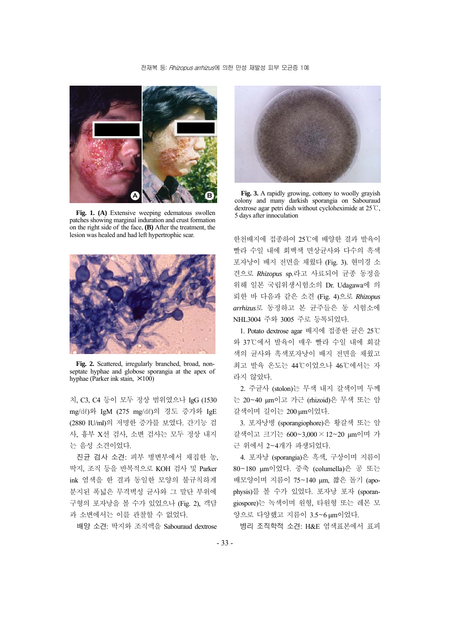

**Fig. 1. (A)** Extensive weeping edematous swollen patches showing marginal induration and crust formation on the right side of the face, **(B)** After the treatment, the lesion was healed and had left hypertrophic scar.



**Fig. 2.** Scattered, irregularly branched, broad, nonseptate hyphae and globose sporangia at the apex of hyphae (Parker ink stain,  $\times$ 100)

치, C3, C4 등이 모두 정상 범위였으나 IgG (1530 mg/㎗)와 IgM (275 mg/㎗)의 경도 증가와 IgE (2880 IU/ml)의 저명한 증가를 보였다. 간기능 검 사, 흉부 X선 검사, 소변 검사는 모두 정상 내지 는 음성 소견이었다.

진균 검사 소견: 피부 병변부에서 채집한 농, 딱지, 조직 등을 반복적으로 KOH 검사 및 Parker ink 염색을 한 결과 동일한 모양의 불규칙하게 분지된 폭넓은 무격벽성 균사와 그 말단 부위에 구형의 포자낭을 볼 수가 있었으나 (Fig. 2), 객담 과 소변에서는 이를 관찰할 수 없었다.

배양 소견: 딱지와 조직액을 Sabouraud dextrose



**Fig. 3.** A rapidly growing, cottony to woolly grayish colony and many darkish sporangia on Sabouraud dextrose agar petri dish without cycloheximide at 25℃, 5 days after innoculation

한천배지에 접종하여 25℃에 배양한 결과 발육이 빨라 수일 내에 회백색 면상균사와 다수의 흑색 포자낭이 배지 전면을 채웠다 (Fig. 3). 현미경 소 견으로 *Rhizopus* sp.라고 사료되어 균종 동정을 위해 일본 국립위생시험소의 Dr. Udagawa에 의 뢰한 바 다음과 같은 소견 (Fig. 4)으로 *Rhizopus arrhizus*로 동정하고 본 균주들은 동 시험소에 NHL3004 주와 3005 주로 등록되었다.

1. Potato dextrose agar 배지에 접종한 균은 25℃ 와 37℃에서 발육이 매우 빨라 수일 내에 회갈 색의 균사와 흑색포자낭이 배지 전면을 채웠고 최고 발육 온도는 44℃이었으나 46℃에서는 자 라지 않았다.

2. 주균사 (stolon)는 무색 내지 갈색이며 두께 는 20~40 μm이고 가근 (rhizoid)은 무색 또는 암 갈색이며 길이는 200 μm이었다.

3. 포자낭병 (sporangiophore)은 황갈색 또는 암 갈색이고 크기는 600~3,000 × 12~20 μm이며 가 근 위에서 2~4개가 파생되었다.

4. 포자낭 (sporangia)은 흑색, 구상이며 지름이 80~180 μm이었다. 중축 (columella)은 공 또는 배모양이며 지름이 75~140 μm, 짧은 돌기 (apophysis)를 볼 수가 있었다. 포자낭 포자 (sporangiospore)는 녹색이며 원형, 타원형 또는 레몬 모 양으로 다양했고 지름이 3.5~6 μm이었다.

병리 조직학적 소견: H&E 염색표본에서 표피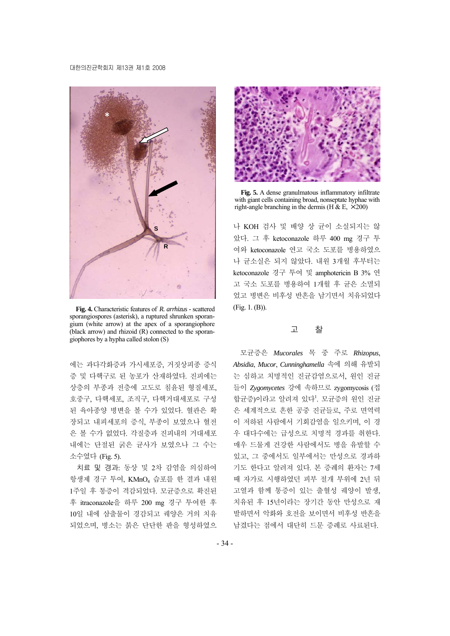

**Fig. 4.** Characteristic features of *R. arrhizus* - scattered sporangiospores (asterisk), a ruptured shrunken sporangium (white arrow) at the apex of a sporangiophore (black arrow) and rhizoid (R) connected to the sporangiophores by a hypha called stolon (S)

에는 과다각화증과 가시세포증, 거짓상피종 증식 증 및 다핵구로 된 농포가 산재하였다. 진피에는 상층의 부종과 전층에 고도로 침윤된 형질세포, 호중구, 다핵세포, 조직구, 다핵거대세포로 구성 된 육아종양 병변을 볼 수가 있었다. 혈관은 확 장되고 내피세포의 증식, 부종이 보였으나 혈전 은 볼 수가 없었다. 각질층과 진피내의 거대세포 내에는 단절된 굵은 균사가 보였으나 그 수는 소수였다 (Fig. 5).

치료 및 경과: 동상 및 2차 감염을 의심하여 항생제 경구 투여, KMnO4 습포를 한 결과 내원 1주일 후 통증이 격감되었다. 모균증으로 확진된 후 itraconazole을 하루 200 mg 경구 투여한 후 10일 내에 삼출물이 경감되고 궤양은 거의 치유 되었으며, 병소는 붉은 단단한 판을 형성하였으



**Fig. 5.** A dense granulmatous inflammatory infiltrate with giant cells containing broad, nonseptate hyphae with right-angle branching in the dermis (H  $\&$  E,  $\times$ 200)

나 KOH 검사 및 배양 상 균이 소실되지는 않 았다. 그 후 ketoconazole 하루 400 mg 경구 투 여와 ketoconazole 연고 국소 도포를 병용하였으 나 균소실은 되지 않았다. 내원 3개월 후부터는 ketoconazole 경구 투여 및 amphotericin B 3% 연 고 국소 도포를 병용하여 1개월 후 균은 소멸되 었고 병변은 비후성 반흔을 남기면서 치유되었다 (Fig. 1. (B)).

#### 고 찰

모균증은 *Mucorales* 목 중 주로 *Rhizopus*, *Absidia*, *Mucor*, *Cunninghamella* 속에 의해 유발되 는 심하고 치명적인 진균감염으로서, 원인 진균 들이 *Zygomycetes* 강에 속하므로 zygomycosis (접 합균증)이라고 알려져 있다<sup>1</sup>. 모균증의 원인 진균 은 세계적으로 흔한 공중 진균들로, 주로 면역력 이 저하된 사람에서 기회감염을 일으키며, 이 경 우 대다수에는 급성으로 치명적 경과를 취한다. 매우 드물게 건강한 사람에서도 병을 유발할 수 있고, 그 중에서도 일부에서는 만성으로 경과하 기도 한다고 알려져 있다. 본 증례의 환자는 7세 때 자가로 시행하였던 피부 절개 부위에 2년 뒤 고열과 함께 통증이 있는 출혈성 궤양이 발생, 치유된 후 15년이라는 장기간 동안 만성으로 재 발하면서 악화와 호전을 보이면서 비후성 반흔을 남겼다는 점에서 대단히 드문 증례로 사료된다.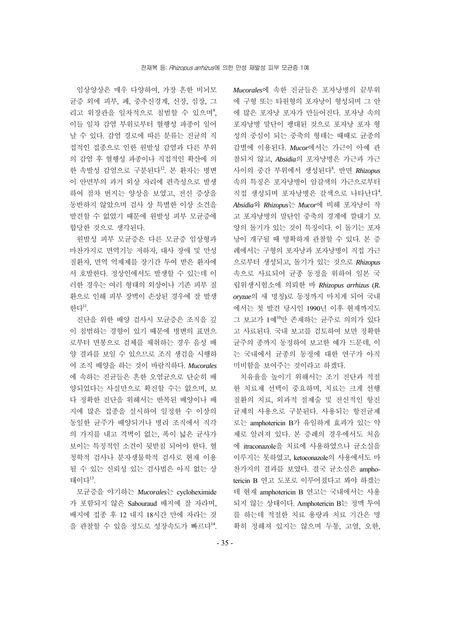임상양상은 매우 다양하여, 가장 흔한 비뇌모 균증 외에 피부, 폐, 중추신경계, 신장, 심장, 그 리고 위장관을 일차적으로 침범할 수 있으며<sup>9</sup>, 이들 일차 감염 부위로부터 혈행성 파종이 일어 날 수 있다. 감염 경로에 따른 분류는 진균의 직 접적인 접종으로 인한 원발성 감염과 다른 부위 의 감염 후 혈행성 파종이나 직접적인 확산에 의 한 속발성 감염으로 구분된다<sup>12</sup>. 본 환자는 병변 이 안면부의 과거 외상 자리에 편측성으로 발생 하여 점차 번지는 양상을 보였고, 전신 증상을 동반하지 않았으며 검사 상 특별한 이상 소견을 발견할 수 없었기 때문에 원발성 피부 모균증에 합당한 것으로 생각된다.

원발성 피부 모균증은 다른 모균증 임상형과 마찬가지로 면역기능 저하자, 대사 장애 및 만성 질환자, 면역 억제제를 장기간 투여 받은 환자에 서 호발한다. 정상인에서도 발생할 수 있는데 이 러한 경우는 여러 형태의 외상이나 기존 피부 질 환으로 인해 피부 장벽이 손상된 경우에 잘 발생 하다 $<sup>11</sup>$ .</sup>

진단을 위한 배양 검사시 모균증은 조직을 깊 이 침범하는 경향이 있기 때문에 병변의 표면으 로부터 면봉으로 검체를 채취하는 경우 음성 배 양 결과를 보일 수 있으므로 조직 생검을 시행하 여 조직 배양을 하는 것이 바람직하다. *Mucorales* 에 속하는 진균들은 흔한 오염균으로 단순히 배 양되었다는 사실만으로 확진할 수는 없으며, 보 다 정확한 진단을 위해서는 반복된 배양이나 배 지에 많은 접종을 실시하여 일정한 수 이상의 동일한 균주가 배양되거나 병리 조직에서 직각 의 가지를 내고 격벽이 없는, 폭이 넓은 균사가 보이는 특징적인 소견이 뒷받침 되어야 한다. 혈 청학적 검사나 분자생물학적 검사로 현재 이용 될 수 있는 신뢰성 있는 검사법은 아직 없는 상 태이다13.

모균증을 야기하는 *Mucorales*는 cycloheximide 가 포함되지 않은 Sabouraud 배지에 잘 자라며, 배지에 접종 후 12 내지 18시간 만에 자라는 것 을 관찰할 수 있을 정도로 성장속도가 빠르다14.

*Mucorales*에 속한 진균들은 포자낭병의 끝부위 에 구형 또는 타원형의 포자낭이 형성되며 그 안 에 많은 포자낭 포자가 만들어진다. 포자낭 속의 포자낭병 말단이 팽대된 것으로 포자낭 포자 형 성의 중심이 되는 중축의 형태는 때때로 균종의 감별에 이용된다. *Mucor*에서는 가근이 아예 관 찰되지 않고, *Absidia*의 포자낭병은 가근과 가근 사이의 중간 부위에서 생성된다<sup>8</sup> . 반면 *Rhizopus* 속의 특징은 포자낭병이 암갈색의 가근으로부터 직접 생성되며 포자낭병은 갈색으로 나타난다<sup>4</sup>. *Absidia*와 *Rhizopus*는 *Mucor*에 비해 포자낭이 작 고 포자낭병의 말단인 중축의 경계에 깔대기 모 양의 돌기가 있는 것이 특징이다. 이 돌기는 포자 낭이 개구될 때 명확하게 관찰할 수 있다. 본 증 례에서는 구형의 포자낭과 포자낭병이 직접 가근 으로부터 생성되고, 돌기가 있는 것으로 *Rhizopus* 속으로 사료되어 균종 동정을 위하여 일본 국 립위생시험소에 의뢰한 바 *Rhizopus arrhizus* (*R. oryzae*의 새 명칭)로 동정까지 마치게 되어 국내 에서는 첫 발견 당시인 1990년 이후 현재까지도 그 보고가 1예<sup>10</sup>만 존재하는 균주로 의의가 있다 고 사료된다. 국내 보고를 검토하여 보면 정확한 균주의 종까지 동정하여 보고한 예가 드문데, 이 는 국내에서 균종의 동정에 대한 연구가 아직 미비함을 보여주는 것이라고 하겠다.

치유율을 높이기 위해서는 조기 진단과 적절 한 치료제 선택이 중요하며, 치료는 크게 선행 질환의 치료, 외과적 절제술 및 전신적인 항진 균제의 사용으로 구분된다. 사용되는 항진균제 로는 amphotericin B가 유일하게 효과가 있는 약 제로 알려져 있다. 본 증례의 경우에서도 처음 에 itraconazole을 치료에 사용하였으나 균소실을 이루지는 못하였고, ketoconazole의 사용에서도 마 찬가지의 결과를 보였다. 결국 균소실은 amphotericin B 연고 도포로 이루어졌다고 봐야 하겠는 데 현재 amphotericin B 연고는 국내에서는 사용 되지 않는 상태이다. Amphotericin B는 정맥 투여 를 하는데 적절한 치료 용량과 치료 기간은 명 확히 정해져 있지는 않으며 두통, 고열, 오한,